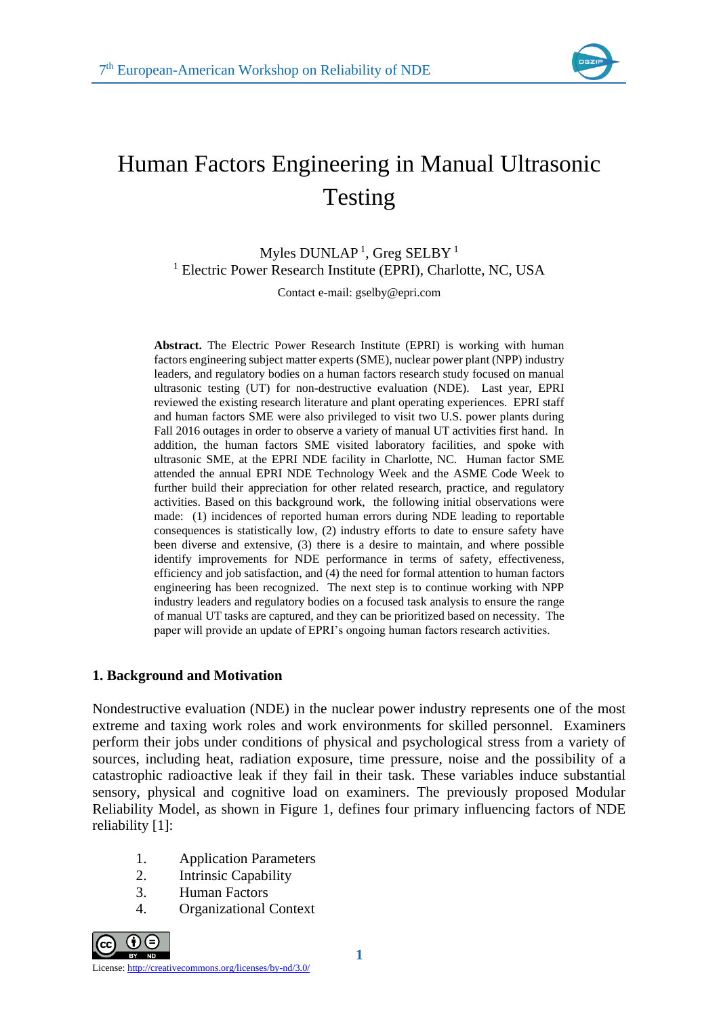

# Human Factors Engineering in Manual Ultrasonic Testing

Myles  $DUNLAP<sup>1</sup>$ , Greg SELBY<sup>1</sup> <sup>1</sup> Electric Power Research Institute (EPRI), Charlotte, NC, USA

Contact e-mail: gselby@epri.com

**Abstract.** The Electric Power Research Institute (EPRI) is working with human factors engineering subject matter experts (SME), nuclear power plant (NPP) industry leaders, and regulatory bodies on a human factors research study focused on manual ultrasonic testing (UT) for non-destructive evaluation (NDE). Last year, EPRI reviewed the existing research literature and plant operating experiences. EPRI staff and human factors SME were also privileged to visit two U.S. power plants during Fall 2016 outages in order to observe a variety of manual UT activities first hand. In addition, the human factors SME visited laboratory facilities, and spoke with ultrasonic SME, at the EPRI NDE facility in Charlotte, NC. Human factor SME attended the annual EPRI NDE Technology Week and the ASME Code Week to further build their appreciation for other related research, practice, and regulatory activities. Based on this background work, the following initial observations were made: (1) incidences of reported human errors during NDE leading to reportable consequences is statistically low, (2) industry efforts to date to ensure safety have been diverse and extensive, (3) there is a desire to maintain, and where possible identify improvements for NDE performance in terms of safety, effectiveness, efficiency and job satisfaction, and (4) the need for formal attention to human factors engineering has been recognized. The next step is to continue working with NPP industry leaders and regulatory bodies on a focused task analysis to ensure the range of manual UT tasks are captured, and they can be prioritized based on necessity. The paper will provide an update of EPRI's ongoing human factors research activities.

### **1. Background and Motivation**

Nondestructive evaluation (NDE) in the nuclear power industry represents one of the most extreme and taxing work roles and work environments for skilled personnel. Examiners perform their jobs under conditions of physical and psychological stress from a variety of sources, including heat, radiation exposure, time pressure, noise and the possibility of a catastrophic radioactive leak if they fail in their task. These variables induce substantial sensory, physical and cognitive load on examiners. The previously proposed Modular Reliability Model, as shown in Figure 1, defines four primary influencing factors of NDE reliability [1]:

- 1. Application Parameters
- 2. Intrinsic Capability
- 3. Human Factors
- 4. Organizational Context

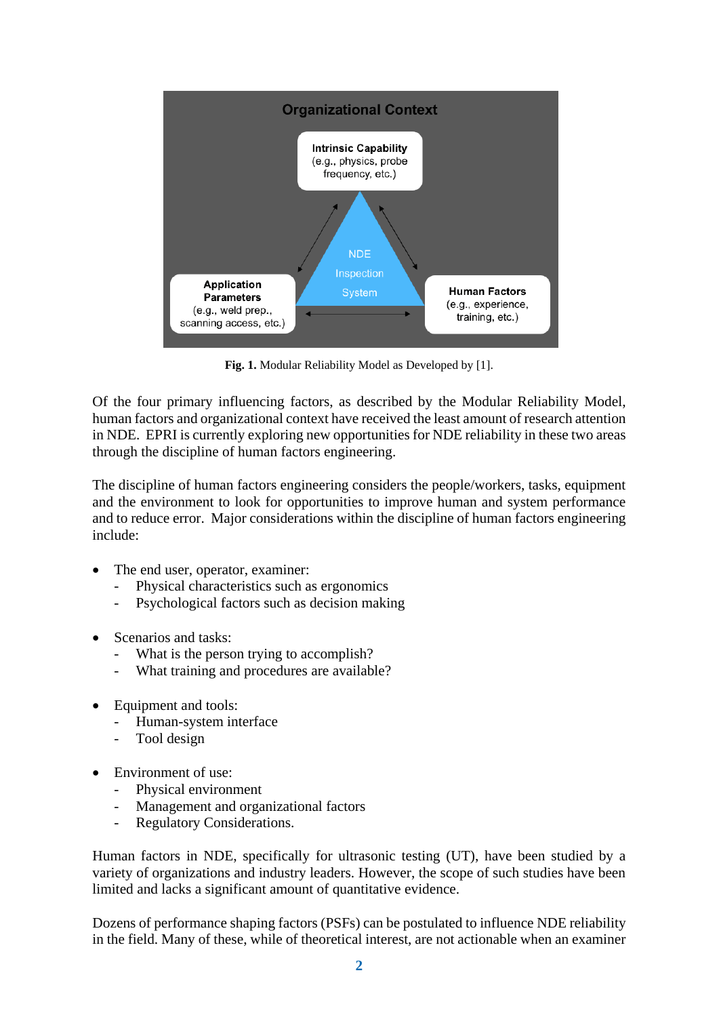

**Fig. 1.** Modular Reliability Model as Developed by [1].

Of the four primary influencing factors, as described by the Modular Reliability Model, human factors and organizational context have received the least amount of research attention in NDE. EPRI is currently exploring new opportunities for NDE reliability in these two areas through the discipline of human factors engineering.

The discipline of human factors engineering considers the people/workers, tasks, equipment and the environment to look for opportunities to improve human and system performance and to reduce error. Major considerations within the discipline of human factors engineering include:

- The end user, operator, examiner:
	- Physical characteristics such as ergonomics
	- Psychological factors such as decision making
- Scenarios and tasks:
	- What is the person trying to accomplish?
	- What training and procedures are available?
- Equipment and tools:
	- Human-system interface
	- Tool design
- Environment of use:
	- Physical environment
	- Management and organizational factors
	- Regulatory Considerations.

Human factors in NDE, specifically for ultrasonic testing (UT), have been studied by a variety of organizations and industry leaders. However, the scope of such studies have been limited and lacks a significant amount of quantitative evidence.

Dozens of performance shaping factors (PSFs) can be postulated to influence NDE reliability in the field. Many of these, while of theoretical interest, are not actionable when an examiner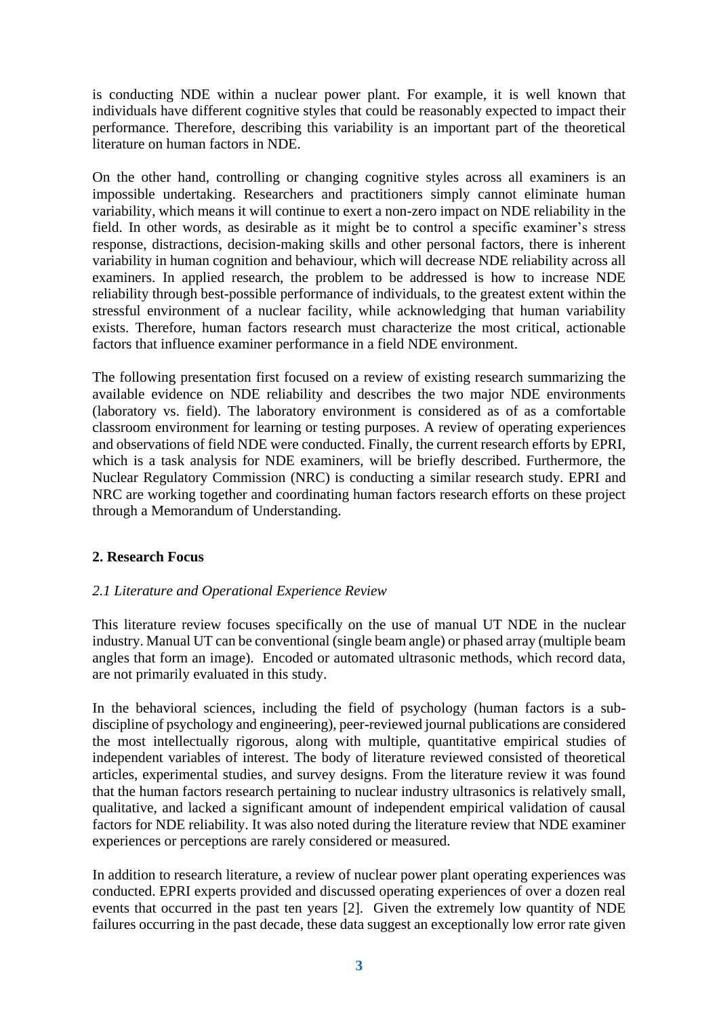is conducting NDE within a nuclear power plant. For example, it is well known that individuals have different cognitive styles that could be reasonably expected to impact their performance. Therefore, describing this variability is an important part of the theoretical literature on human factors in NDE.

On the other hand, controlling or changing cognitive styles across all examiners is an impossible undertaking. Researchers and practitioners simply cannot eliminate human variability, which means it will continue to exert a non-zero impact on NDE reliability in the field. In other words, as desirable as it might be to control a specific examiner's stress response, distractions, decision-making skills and other personal factors, there is inherent variability in human cognition and behaviour, which will decrease NDE reliability across all examiners. In applied research, the problem to be addressed is how to increase NDE reliability through best-possible performance of individuals, to the greatest extent within the stressful environment of a nuclear facility, while acknowledging that human variability exists. Therefore, human factors research must characterize the most critical, actionable factors that influence examiner performance in a field NDE environment.

The following presentation first focused on a review of existing research summarizing the available evidence on NDE reliability and describes the two major NDE environments (laboratory vs. field). The laboratory environment is considered as of as a comfortable classroom environment for learning or testing purposes. A review of operating experiences and observations of field NDE were conducted. Finally, the current research efforts by EPRI, which is a task analysis for NDE examiners, will be briefly described. Furthermore, the Nuclear Regulatory Commission (NRC) is conducting a similar research study. EPRI and NRC are working together and coordinating human factors research efforts on these project through a Memorandum of Understanding.

# **2. Research Focus**

# *2.1 Literature and Operational Experience Review*

This literature review focuses specifically on the use of manual UT NDE in the nuclear industry. Manual UT can be conventional (single beam angle) or phased array (multiple beam angles that form an image). Encoded or automated ultrasonic methods, which record data, are not primarily evaluated in this study.

In the behavioral sciences, including the field of psychology (human factors is a subdiscipline of psychology and engineering), peer-reviewed journal publications are considered the most intellectually rigorous, along with multiple, quantitative empirical studies of independent variables of interest. The body of literature reviewed consisted of theoretical articles, experimental studies, and survey designs. From the literature review it was found that the human factors research pertaining to nuclear industry ultrasonics is relatively small, qualitative, and lacked a significant amount of independent empirical validation of causal factors for NDE reliability. It was also noted during the literature review that NDE examiner experiences or perceptions are rarely considered or measured.

In addition to research literature, a review of nuclear power plant operating experiences was conducted. EPRI experts provided and discussed operating experiences of over a dozen real events that occurred in the past ten years [2]. Given the extremely low quantity of NDE failures occurring in the past decade, these data suggest an exceptionally low error rate given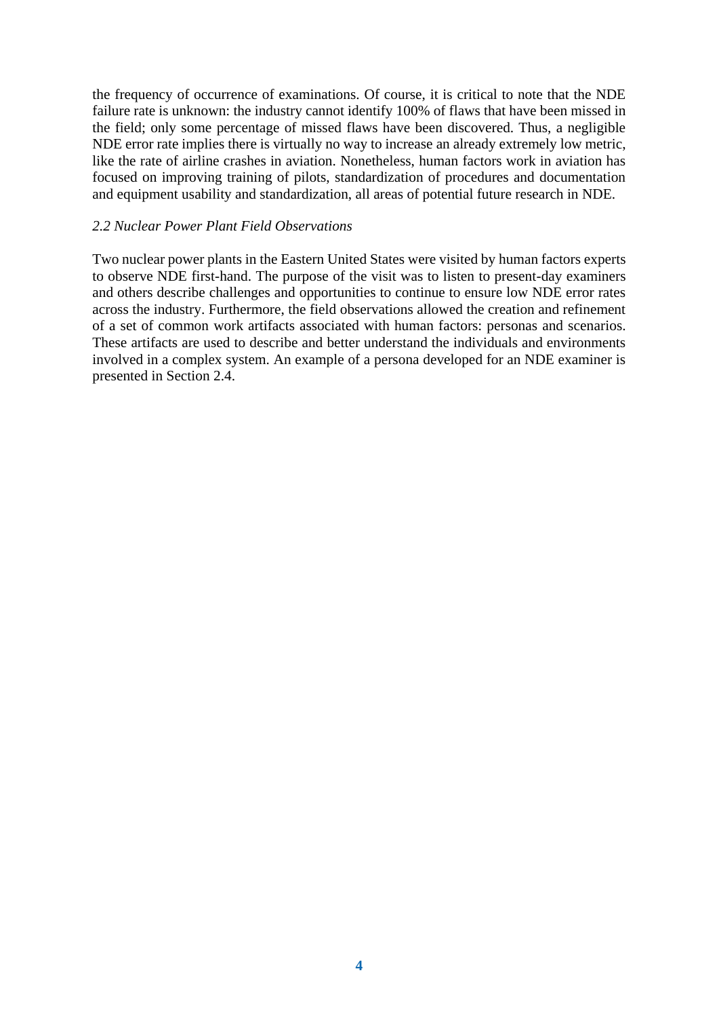the frequency of occurrence of examinations. Of course, it is critical to note that the NDE failure rate is unknown: the industry cannot identify 100% of flaws that have been missed in the field; only some percentage of missed flaws have been discovered. Thus, a negligible NDE error rate implies there is virtually no way to increase an already extremely low metric, like the rate of airline crashes in aviation. Nonetheless, human factors work in aviation has focused on improving training of pilots, standardization of procedures and documentation and equipment usability and standardization, all areas of potential future research in NDE.

#### *2.2 Nuclear Power Plant Field Observations*

Two nuclear power plants in the Eastern United States were visited by human factors experts to observe NDE first-hand. The purpose of the visit was to listen to present-day examiners and others describe challenges and opportunities to continue to ensure low NDE error rates across the industry. Furthermore, the field observations allowed the creation and refinement of a set of common work artifacts associated with human factors: personas and scenarios. These artifacts are used to describe and better understand the individuals and environments involved in a complex system. An example of a persona developed for an NDE examiner is presented in Section 2.4.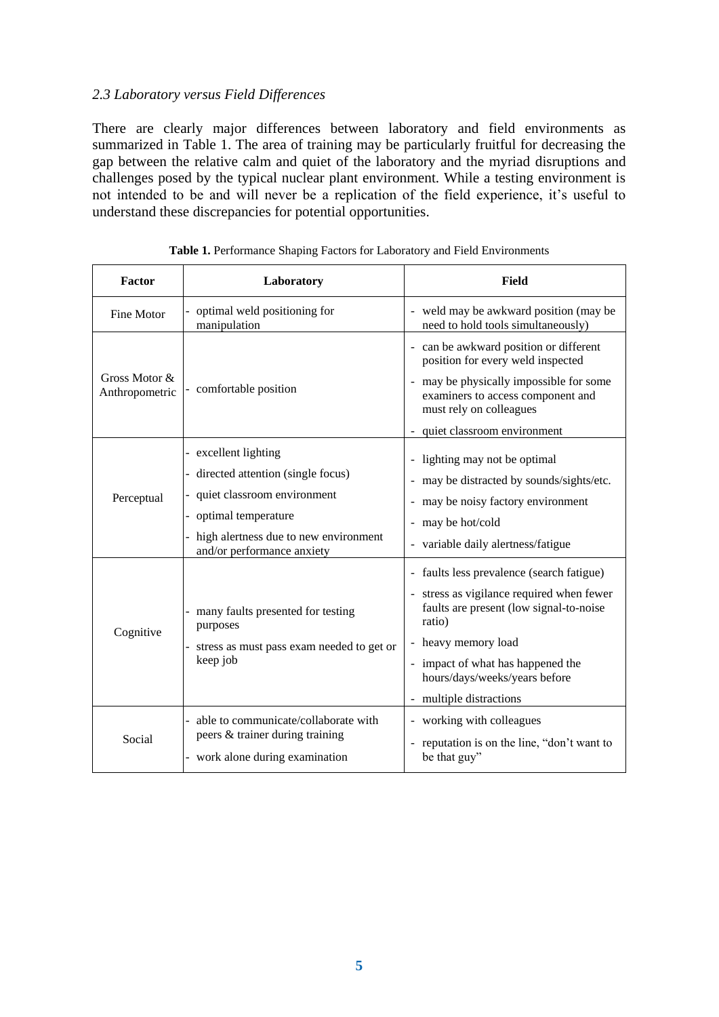## *2.3 Laboratory versus Field Differences*

There are clearly major differences between laboratory and field environments as summarized in Table 1. The area of training may be particularly fruitful for decreasing the gap between the relative calm and quiet of the laboratory and the myriad disruptions and challenges posed by the typical nuclear plant environment. While a testing environment is not intended to be and will never be a replication of the field experience, it's useful to understand these discrepancies for potential opportunities.

| <b>Factor</b>                   | Laboratory                                                                                                                                                                               | Field                                                                                                                                                                                                                                                               |
|---------------------------------|------------------------------------------------------------------------------------------------------------------------------------------------------------------------------------------|---------------------------------------------------------------------------------------------------------------------------------------------------------------------------------------------------------------------------------------------------------------------|
| Fine Motor                      | optimal weld positioning for<br>manipulation                                                                                                                                             | - weld may be awkward position (may be<br>need to hold tools simultaneously)                                                                                                                                                                                        |
| Gross Motor &<br>Anthropometric | - comfortable position                                                                                                                                                                   | - can be awkward position or different<br>position for every weld inspected<br>may be physically impossible for some<br>examiners to access component and<br>must rely on colleagues<br>- quiet classroom environment                                               |
| Perceptual                      | - excellent lighting<br>- directed attention (single focus)<br>quiet classroom environment<br>optimal temperature<br>high alertness due to new environment<br>and/or performance anxiety | - lighting may not be optimal<br>may be distracted by sounds/sights/etc.<br>may be noisy factory environment<br>- may be hot/cold<br>- variable daily alertness/fatigue                                                                                             |
| Cognitive                       | many faults presented for testing<br>purposes<br>stress as must pass exam needed to get or<br>keep job                                                                                   | - faults less prevalence (search fatigue)<br>- stress as vigilance required when fewer<br>faults are present (low signal-to-noise<br>ratio)<br>- heavy memory load<br>- impact of what has happened the<br>hours/days/weeks/years before<br>- multiple distractions |
| Social                          | able to communicate/collaborate with<br>peers & trainer during training<br>- work alone during examination                                                                               | - working with colleagues<br>reputation is on the line, "don't want to<br>be that guy"                                                                                                                                                                              |

**Table 1.** Performance Shaping Factors for Laboratory and Field Environments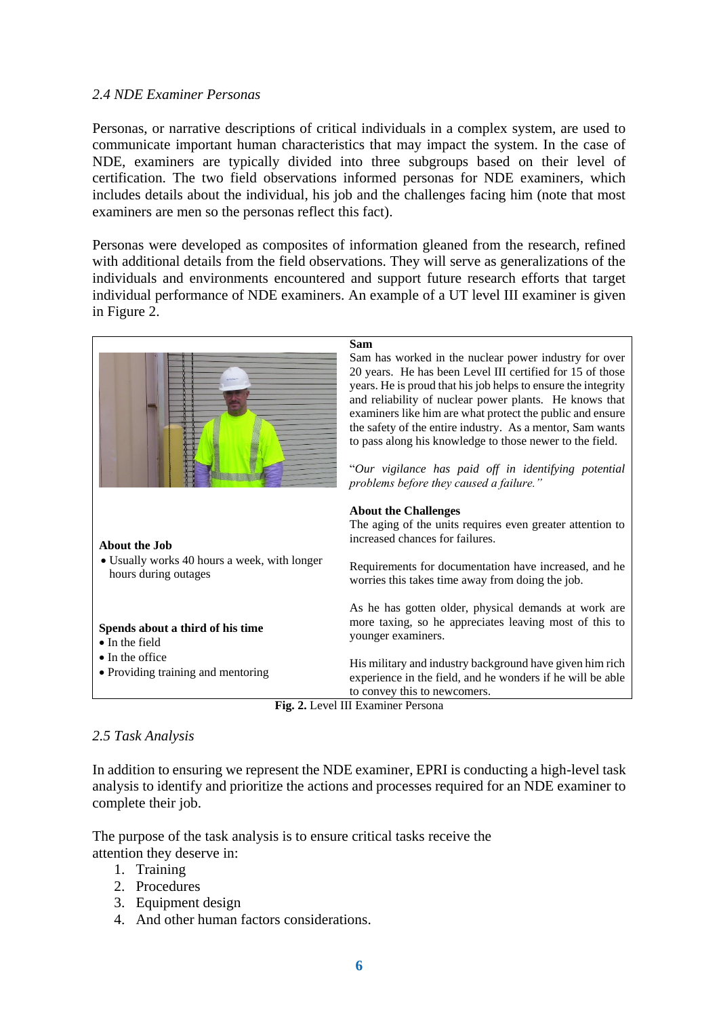### *2.4 NDE Examiner Personas*

Personas, or narrative descriptions of critical individuals in a complex system, are used to communicate important human characteristics that may impact the system. In the case of NDE, examiners are typically divided into three subgroups based on their level of certification. The two field observations informed personas for NDE examiners, which includes details about the individual, his job and the challenges facing him (note that most examiners are men so the personas reflect this fact).

Personas were developed as composites of information gleaned from the research, refined with additional details from the field observations. They will serve as generalizations of the individuals and environments encountered and support future research efforts that target individual performance of NDE examiners. An example of a UT level III examiner is given in Figure 2.

|                                                                      | <b>Sam</b><br>Sam has worked in the nuclear power industry for over<br>20 years. He has been Level III certified for 15 of those<br>years. He is proud that his job helps to ensure the integrity<br>and reliability of nuclear power plants. He knows that<br>examiners like him are what protect the public and ensure<br>the safety of the entire industry. As a mentor, Sam wants |
|----------------------------------------------------------------------|---------------------------------------------------------------------------------------------------------------------------------------------------------------------------------------------------------------------------------------------------------------------------------------------------------------------------------------------------------------------------------------|
|                                                                      | to pass along his knowledge to those newer to the field.<br>"Our vigilance has paid off in identifying potential<br>problems before they caused a failure."                                                                                                                                                                                                                           |
| <b>About the Job</b>                                                 | <b>About the Challenges</b><br>The aging of the units requires even greater attention to<br>increased chances for failures.                                                                                                                                                                                                                                                           |
| • Usually works 40 hours a week, with longer<br>hours during outages | Requirements for documentation have increased, and he<br>worries this takes time away from doing the job.                                                                                                                                                                                                                                                                             |
| Spends about a third of his time<br>$\bullet$ In the field           | As he has gotten older, physical demands at work are<br>more taxing, so he appreciates leaving most of this to<br>younger examiners.                                                                                                                                                                                                                                                  |
| • In the office<br>• Providing training and mentoring                | His military and industry background have given him rich<br>experience in the field, and he wonders if he will be able<br>to convey this to newcomers.                                                                                                                                                                                                                                |
|                                                                      | <b>Fig. 2.</b> Level III Examiner Personal                                                                                                                                                                                                                                                                                                                                            |

**Fig. 2.** Level III Examiner Persona

### *2.5 Task Analysis*

In addition to ensuring we represent the NDE examiner, EPRI is conducting a high-level task analysis to identify and prioritize the actions and processes required for an NDE examiner to complete their job.

The purpose of the task analysis is to ensure critical tasks receive the attention they deserve in:

- 1. Training
- 2. Procedures
- 3. Equipment design
- 4. And other human factors considerations.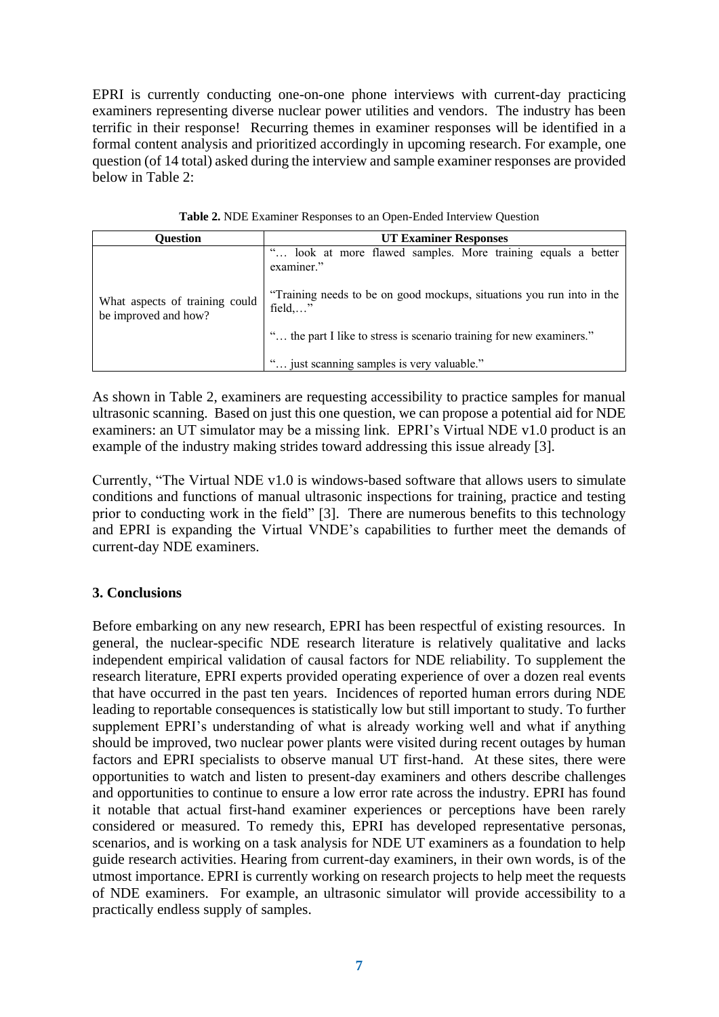EPRI is currently conducting one-on-one phone interviews with current-day practicing examiners representing diverse nuclear power utilities and vendors. The industry has been terrific in their response! Recurring themes in examiner responses will be identified in a formal content analysis and prioritized accordingly in upcoming research. For example, one question (of 14 total) asked during the interview and sample examiner responses are provided below in Table 2:

| Ouestion                                               | <b>UT Examiner Responses</b>                                                               |  |
|--------------------------------------------------------|--------------------------------------------------------------------------------------------|--|
|                                                        | look at more flawed samples. More training equals a better<br>examiner."                   |  |
| What aspects of training could<br>be improved and how? | "Training needs to be on good mockups, situations you run into in the<br>$field, \ldots$ " |  |
|                                                        | " the part I like to stress is scenario training for new examiners."                       |  |
|                                                        | ' just scanning samples is very valuable."                                                 |  |

**Table 2.** NDE Examiner Responses to an Open-Ended Interview Question

As shown in Table 2, examiners are requesting accessibility to practice samples for manual ultrasonic scanning. Based on just this one question, we can propose a potential aid for NDE examiners: an UT simulator may be a missing link. EPRI's Virtual NDE v1.0 product is an example of the industry making strides toward addressing this issue already [3].

Currently, "The Virtual NDE v1.0 is windows-based software that allows users to simulate conditions and functions of manual ultrasonic inspections for training, practice and testing prior to conducting work in the field" [3]. There are numerous benefits to this technology and EPRI is expanding the Virtual VNDE's capabilities to further meet the demands of current-day NDE examiners.

# **3. Conclusions**

Before embarking on any new research, EPRI has been respectful of existing resources. In general, the nuclear-specific NDE research literature is relatively qualitative and lacks independent empirical validation of causal factors for NDE reliability. To supplement the research literature, EPRI experts provided operating experience of over a dozen real events that have occurred in the past ten years. Incidences of reported human errors during NDE leading to reportable consequences is statistically low but still important to study. To further supplement EPRI's understanding of what is already working well and what if anything should be improved, two nuclear power plants were visited during recent outages by human factors and EPRI specialists to observe manual UT first-hand. At these sites, there were opportunities to watch and listen to present-day examiners and others describe challenges and opportunities to continue to ensure a low error rate across the industry. EPRI has found it notable that actual first-hand examiner experiences or perceptions have been rarely considered or measured. To remedy this, EPRI has developed representative personas, scenarios, and is working on a task analysis for NDE UT examiners as a foundation to help guide research activities. Hearing from current-day examiners, in their own words, is of the utmost importance. EPRI is currently working on research projects to help meet the requests of NDE examiners. For example, an ultrasonic simulator will provide accessibility to a practically endless supply of samples.